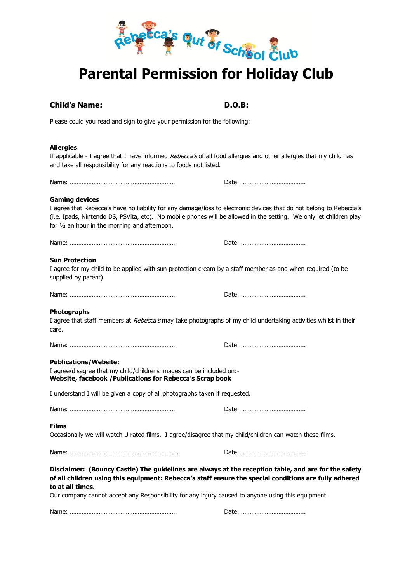

# **Child's Name: D.O.B:**

Please could you read and sign to give your permission for the following:

# **Allergies**

If applicable - I agree that I have informed *Rebecca's* of all food allergies and other allergies that my child has and take all responsibility for any reactions to foods not listed.

Name: ……………………………………………………… Date: ………………………………..

# **Gaming devices**

I agree that Rebecca's have no liability for any damage/loss to electronic devices that do not belong to Rebecca's (i.e. Ipads, Nintendo DS, PSVita, etc). No mobile phones will be allowed in the setting. We only let children play for ½ an hour in the morning and afternoon.

Name: ……………………………………………………… Date: ………………………………..

|--|--|

# **Sun Protection**

I agree for my child to be applied with sun protection cream by a staff member as and when required (to be supplied by parent).

Name: ……………………………………………………… Date: ………………………………..

### **Photographs**

I agree that staff members at Rebecca's may take photographs of my child undertaking activities whilst in their care.

Name: ……………………………………………………… Date: ………………………………..

# **Publications/Website:**

I agree/disagree that my child/childrens images can be included on:- **Website, facebook /Publications for Rebecca's Scrap book** 

I understand I will be given a copy of all photographs taken if requested.

Name: ……………………………………………………… Date: ………………………………..

### **Films**

Occasionally we will watch U rated films. I agree/disagree that my child/children can watch these films.

Name: ………………………………………………………. Date: ………………………………..

**Disclaimer: (Bouncy Castle) The guidelines are always at the reception table, and are for the safety of all children using this equipment: Rebecca's staff ensure the special conditions are fully adhered to at all times.**

Our company cannot accept any Responsibility for any injury caused to anyone using this equipment.

Name: ……………………………………………………… Date: ………………………………..